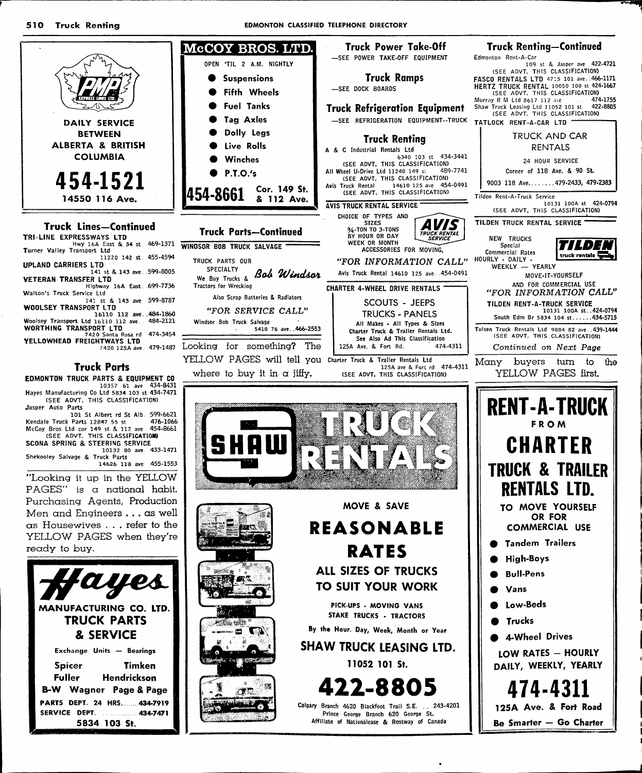510 **Truck Renting**  **EDMONTON CLASSIFIED TELEPHONE DIRECTORY** 



## **Truck Lines-Continued**

| Hwy 16A East & 34 st 469-1371                 |
|-----------------------------------------------|
|                                               |
| 11220 142 st. 455-4594                        |
|                                               |
| 141 st & 143 ave. 599-8005                    |
|                                               |
| Highway 16A East  699-7736                    |
|                                               |
| 141 st & 143 ave 599-8787                     |
|                                               |
| 16110 112 ave484-1860                         |
| Woolsey Transport Ltd 16110 112 ave. 484-2121 |
|                                               |
| 474-3454                                      |
|                                               |
| 7420 125A ave 479-1487                        |
|                                               |
|                                               |



## **Truck Parts**

EDMONTON TRUCK PARTS & EQUIPMENT CO 10357 61 ave 434-8431<br>Hayes Manufacturing Co Ltd 5834 103 st 434-7471 (SEE ADVT. THIS CLASSIFICATION)

Jasper Auto Parts Jasper Auto Fats<br>
101 St Albert rd St Alb. 599-6621<br>
Kendale Truck Parts 12847 55 st<br>
McCoy Bros Ltd cor 149 st & 112 ave 454-8661<br>
(SEE ADVT. THIS CLASSIFICATION)

SCONA SPRING & STEERING SERVICE 10132 80 ave. 433-1471 Shekooley Salvage & Truck Parts 14626 118 ave 455-1553

"Looking it up in the YELLOW PAGES" is a national habit. Purchasing Agents, Production Men and Engineers . . . as well as Housewives . . . refer to the YELLOW PAGES when they're ready to buy.





By the Hour. Day, Week, Month or Year

ACCESSORIES FOR MOVING,

**SCOUTS - JEEPS** 

**TRUCKS - PANELS** 

474-4311

125A ave & Fort rd 474-4311

SHAW TRUCK LEASING LTD.

11052 101 St.

22-8805 Calgary Branch 4620 Blackfoot Trail S.E. . 243-4201 Prince George Branch 620 George St. Affiliate of Nationalease & Rentway of Canada

NEW TRUCKS Special 774) E Commercial Rates truck rentais HOURLY - DAILY - I<br>WEEKLY - YEARLY MOVE-IT-YOURSELF AND FOR COMMERCIAL USE "FOR INFORMATION CALL" TILDEN RENT-A-TRUCK SERVICE 10131 100A st..424-0794 South Edm Br 5834 104 st......434-5715 Tuisen Truck Rentals Ltd 9884 82 ave 439-1444 Continued on Next Page Many buyers turn to the YELLOW PAGES first. **RENT-A-TRUCK FROM CHARTER TRUCK & TRAILER RENTALS LTD.** TO MOVE YOURSELF OR FOR **COMMERCIAL USE Tandem Trailers** 

- **High-Boys**
- **Bull-Pens**
- Vans
- Low-Beds
- Trucks
- 4-Wheel Drives

LOW RATES - HOURLY DAILY, WEEKLY, YEARLY

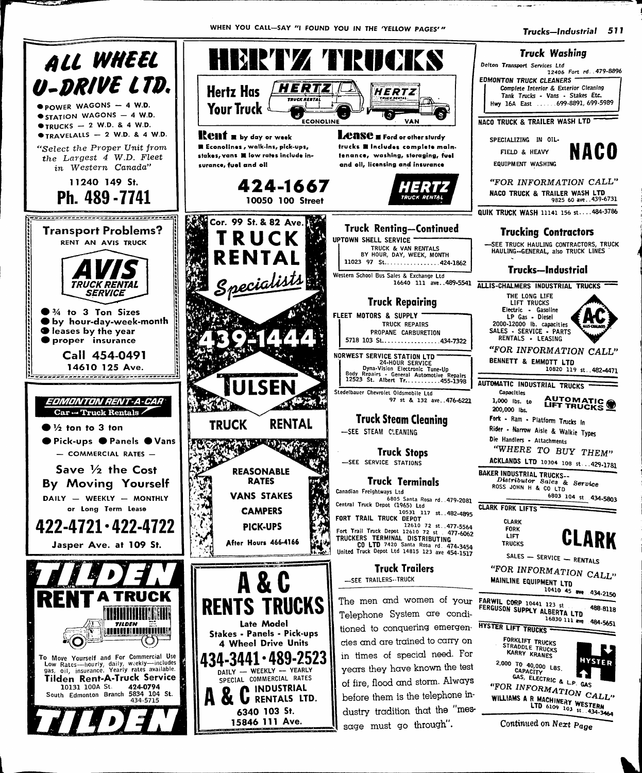

B.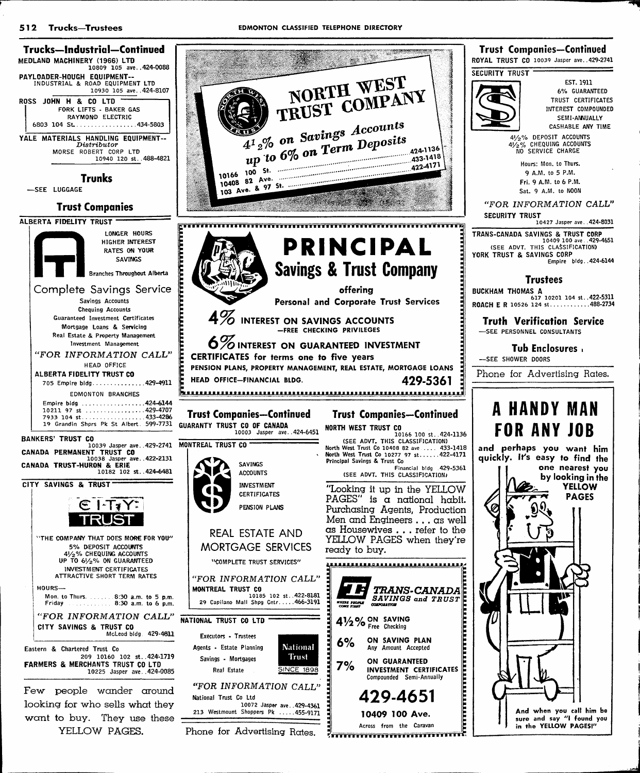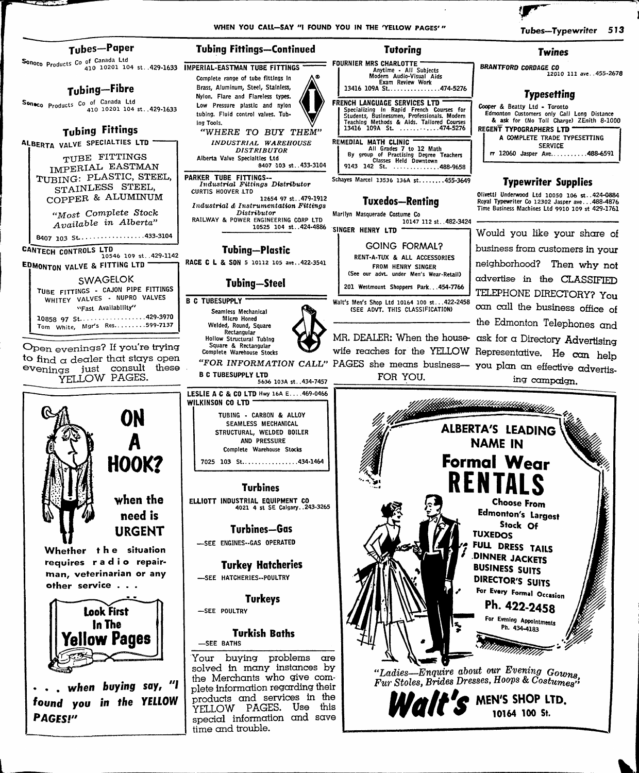

•. . when buying say, "I found you in the YELLOW Your buying problems are solved in many instances by the Merchants who give com plete information regarding their products and services in the YELLOW PAGES. Use this special information and save time and trouble.

"Ladies—Enquire about our Evening Gowns Fur Stoles, Brides Dresses, Hoops & Costumea''

œ

 $\textit{Walt's}$  men's shop ltd.

PAGES!"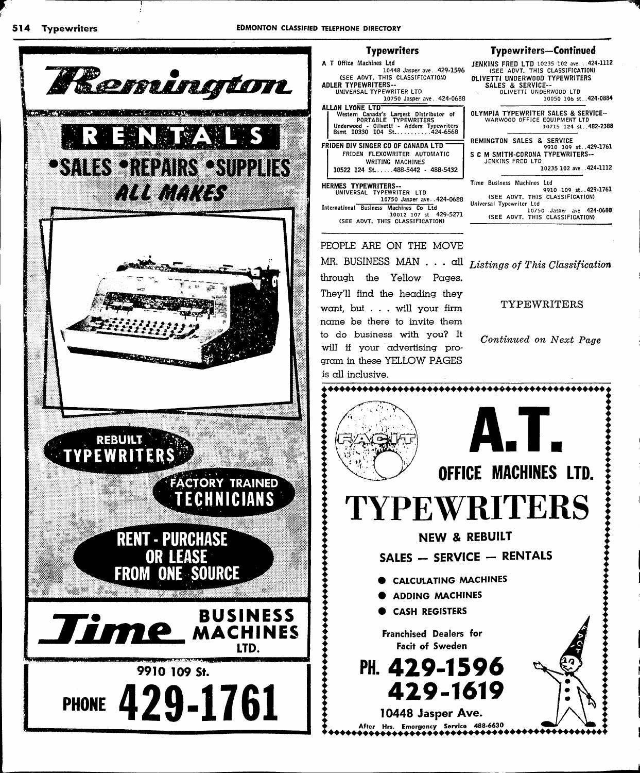

## **Typewriters**

A T Office Machines Ltd 10448 Jasper ave. .429-1596 (SEE ADVT. THIS CLASSIFICATION) ADLER typewritersuniversal TYPEWRITER LTD

10750 Jasper ave. .424-0688 ALLAN LYONE LTD~ Western Canada's Largest Distributor of PORTABLE TYPEWRITERS Underwood - Olivetti - Adders Typewriters Bsmt 10330 104 St 424-6568

FRIDEN DIV SINGER CO OF CANADA LTD FRiDEN FLEXOWRITER AUTOMATIC WRITING MACHINES  $10522$  124 St....488-5442 - 488-5432

# 10750 Jasper ave..424-0688

International Business Machines Co Ltd 10012 107 St 429-5271 (SEE ADVT. THIS CLASSIFICATION)

PEOPLE ARE ON THE MOVE

through the Yellow Pages. They'll find the heading they want, but . . . will your firm name be there to invite them to do business with you? It will if your advertising pro

## Typewriters—Continued

JENKINS FRED LTD 10235 102 ave...424-1112 (SEE ADVT. THIS CLASSIFICATION) OLIVETTI UNDERWOOD TYPEWRITERS SALES & SERVICE-OLIVETTI UNDERWOOD LTD 10050 106 St. .424-0884 OLYMPIA TYPEWRITER SALES & SERVICE-WARWOOD OFFICE EQUIPMENT LTD 10715 124 St. .482-2388 REMINGTON SALES & SERVICE 9910 109 St..429-1761 S C M SMITH-CORONA TYPEWRITERS-JENKINS FRED LTD 10235 102 ave. .424-1112 HERMES TYPEWRITERS-<br>
UNIVERSAL TYPEWRITER LTD (SEE ADVE THE BUSINESS Machines Ltd in 1990)<br>
UNIVERSAL TYPEWRITER LTD (SEE ADVE THE BLACKETATION) (SEE ADVT. THIS CLASSIFICATION)

Universal Typewriter Ltd 10750 Jasper ave 424-0688 (SEE ADVT. THIS CLASSIFICATION)

MR. BUSINESS MAN . . .  $all$  Listings of This Classification

TYPEWRITERS

Continued on Next Page